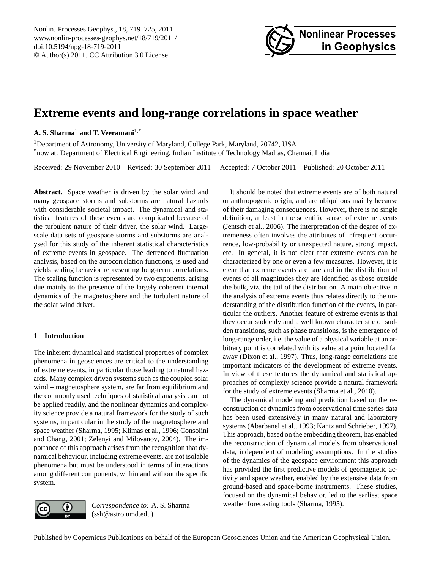

# <span id="page-0-0"></span>**Extreme events and long-range correlations in space weather**

# **A. S. Sharma**<sup>1</sup> **and T. Veeramani**1,\*

<sup>1</sup>Department of Astronomy, University of Maryland, College Park, Maryland, 20742, USA \*now at: Department of Electrical Engineering, Indian Institute of Technology Madras, Chennai, India

Received: 29 November 2010 – Revised: 30 September 2011 – Accepted: 7 October 2011 – Published: 20 October 2011

**Abstract.** Space weather is driven by the solar wind and many geospace storms and substorms are natural hazards with considerable societal impact. The dynamical and statistical features of these events are complicated because of the turbulent nature of their driver, the solar wind. Largescale data sets of geospace storms and substorms are analysed for this study of the inherent statistical characteristics of extreme events in geospace. The detrended fluctuation analysis, based on the autocorrelation functions, is used and yields scaling behavior representing long-term correlations. The scaling function is represented by two exponents, arising due mainly to the presence of the largely coherent internal dynamics of the magnetosphere and the turbulent nature of the solar wind driver.

# **1 Introduction**

The inherent dynamical and statistical properties of complex phenomena in geosciences are critical to the understanding of extreme events, in particular those leading to natural hazards. Many complex driven systems such as the coupled solar wind – magnetosphere system, are far from equilibrium and the commonly used techniques of statistical analysis can not be applied readily, and the nonlinear dynamics and complexity science provide a natural framework for the study of such systems, in particular in the study of the magnetosphere and space weather [\(Sharma,](#page-6-0) [1995;](#page-6-0) [Klimas et al.,](#page-5-0) [1996;](#page-5-0) [Consolini](#page-5-1) [and Chang,](#page-5-1) [2001;](#page-5-1) [Zelenyi and Milovanov,](#page-6-1) [2004\)](#page-6-1). The importance of this approach arises from the recognition that dynamical behaviour, including extreme events, are not isolable phenomena but must be understood in terms of interactions among different components, within and without the specific system.

The dynamical modeling and prediction based on the reconstruction of dynamics from observational time series data has been used extensively in many natural and laboratory systems [\(Abarbanel et al.,](#page-5-4) [1993;](#page-5-4) [Kantz and Schrieber,](#page-5-5) [1997\)](#page-5-5). This approach, based on the embedding theorem, has enabled the reconstruction of dynamical models from observational data, independent of modeling assumptions. In the studies of the dynamics of the geospace environment this approach has provided the first predictive models of geomagnetic activity and space weather, enabled by the extensive data from ground-based and space-borne instruments. These studies,

weather forecasting tools [\(Sharma,](#page-6-0) [1995\)](#page-6-0).



*Correspondence to:* A. S. Sharma (ssh@astro.umd.edu)

Published by Copernicus Publications on behalf of the European Geosciences Union and the American Geophysical Union.

It should be noted that extreme events are of both natural or anthropogenic origin, and are ubiquitous mainly because of their damaging consequences. However, there is no single definition, at least in the scientific sense, of extreme events [\(Jentsch et al.,](#page-5-2) [2006\)](#page-5-2). The interpretation of the degree of extremeness often involves the attributes of infrequent occurrence, low-probability or unexpected nature, strong impact, etc. In general, it is not clear that extreme events can be characterized by one or even a few measures. However, it is clear that extreme events are rare and in the distribution of events of all magnitudes they are identified as those outside the bulk, viz. the tail of the distribution. A main objective in the analysis of extreme events thus relates directly to the understanding of the distribution function of the events, in particular the outliers. Another feature of extreme events is that they occur suddenly and a well known characteristic of sudden transitions, such as phase transitions, is the emergence of long-range order, i.e. the value of a physical variable at an arbitrary point is correlated with its value at a point located far away [\(Dixon et al.,](#page-5-3) [1997\)](#page-5-3). Thus, long-range correlations are important indicators of the development of extreme events. In view of these features the dynamical and statistical approaches of complexiy science provide a natural framework for the study of extreme events [\(Sharma et al.,](#page-6-2) [2010\)](#page-6-2).

focused on the dynamical behavior, led to the earliest space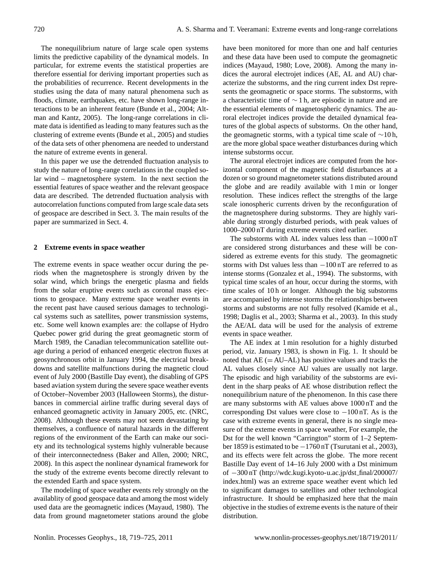The nonequilibrium nature of large scale open systems limits the predictive capability of the dynamical models. In particular, for extreme events the statistical properties are therefore essential for deriving important properties such as the probabilities of recurrence. Recent developments in the studies using the data of many natural phenomena such as floods, climate, earthquakes, etc. have shown long-range interactions to be an inherent feature [\(Bunde et al.,](#page-5-6) [2004;](#page-5-6) [Alt](#page-5-7)[man and Kantz,](#page-5-7) [2005\)](#page-5-7). The long-range correlations in climate data is identified as leading to many features such as the clustering of extreme events [\(Bunde et al.,](#page-5-8) [2005\)](#page-5-8) and studies of the data sets of other phenomena are needed to understand the nature of extreme events in general.

In this paper we use the detrended fluctuation analysis to study the nature of long-range correlations in the coupled solar wind – magnetosphere system. In the next section the essential features of space weather and the relevant geospace data are described. The detrended fluctuation analysis with autocorrelation functions computed from large scale data sets of geospace are described in Sect. 3. The main results of the paper are summarized in Sect. 4.

#### **2 Extreme events in space weather**

The extreme events in space weather occur during the periods when the magnetosphere is strongly driven by the solar wind, which brings the energetic plasma and fields from the solar eruptive events such as coronal mass ejections to geospace. Many extreme space weather events in the recent past have caused serious damages to technological systems such as satellites, power transmission systems, etc. Some well known examples are: the collapse of Hydro Quebec power grid during the great geomagnetic storm of March 1989, the Canadian telecommunication satellite outage during a period of enhanced energetic electron fluxes at geosynchronous orbit in January 1994, the electrical breakdowns and satellite malfunctions during the magnetic cloud event of July 2000 (Bastille Day event), the disabling of GPS based aviation system during the severe space weather events of October–November 2003 (Halloween Storms), the disturbances in commercial airline traffic during several days of enhanced geomagnetic activity in January 2005, etc. [\(NRC,](#page-6-3) [2008\)](#page-6-3). Although these events may not seem devastating by themselves, a confluence of natural hazards in the different regions of the environment of the Earth can make our society and its technological systems highly vulnerable because of their interconnectedness [\(Baker and Allen,](#page-5-9) [2000;](#page-5-9) [NRC,](#page-6-3) [2008\)](#page-6-3). In this aspect the nonlinear dynamical framework for the study of the extreme events become directly relevant to the extended Earth and space system.

The modeling of space weather events rely strongly on the availablity of good geospace data and among the most widely used data are the geomagnetic indices [\(Mayaud,](#page-6-4) [1980\)](#page-6-4). The data from ground magnetometer stations around the globe have been monitored for more than one and half centuries and these data have been used to compute the geomagnetic indices [\(Mayaud,](#page-6-4) [1980;](#page-6-4) [Love,](#page-5-10) [2008\)](#page-5-10). Among the many indices the auroral electrojet indices (AE, AL and AU) characterize the substorms, and the ring current index Dst represents the geomagnetic or space storms. The substorms, with a characteristic time of ∼ 1 h, are episodic in nature and are the essential elements of magnetospheric dynamics. The auroral electrojet indices provide the detailed dynamical features of the global aspects of substorms. On the other hand, the geomagnetic storms, with a typical time scale of ∼10 h, are the more global space weather disturbances during which intense substorms occur.

The auroral electrojet indices are computed from the horizontal component of the magnetic field disturbances at a dozen or so ground magnetometer stations distributed around the globe and are readily available with 1 min or longer resolution. These indices reflect the strengths of the large scale ionospheric currents driven by the reconfiguration of the magnetosphere during substorms. They are highly variable during strongly disturbed periods, with peak values of 1000–2000 nT during extreme events cited earlier.

The substorms with AL index values less than  $-1000 \text{ nT}$ are considered strong disturbances and these will be considered as extreme events for this study. The geomagnetic storms with Dst values less than −100 nT are referred to as intense storms [\(Gonzalez et al.,](#page-5-11) [1994\)](#page-5-11). The substorms, with typical time scales of an hour, occur during the storms, with time scales of 10h or longer. Although the big substorms are accompanied by intense storms the relationships between storms and substorms are not fully resolved [\(Kamide et al.,](#page-5-12) [1998;](#page-5-12) [Daglis et al.,](#page-5-13) [2003;](#page-5-13) [Sharma et al.,](#page-6-5) [2003\)](#page-6-5). In this study the AE/AL data will be used for the analysis of extreme events in space weather.

The AE index at 1 min resolution for a highly disturbed period, viz. January 1983, is shown in Fig. [1.](#page-2-0) It should be noted that  $AE$  (=  $AU$ – $AL$ ) has positive values and tracks the AL values closely since AU values are usually not large. The episodic and high variability of the substorms are evident in the sharp peaks of AE whose distribution reflect the nonequilibrium nature of the phenomenon. In this case there are many substorms with AE values above 1000 nT and the corresponding Dst values were close to −100 nT. As is the case with extreme events in general, there is no single measure of the exteme events in space weather, For example, the Dst for the well known "Carrington" storm of 1–2 September 1859 is estimated to be −1760 nT [\(Tsurutani et al.,](#page-6-6) [2003\)](#page-6-6), and its effects were felt across the globe. The more recent Bastille Day event of 14–16 July 2000 with a Dst minimum of −300 nT [\(http://wdc.kugi.kyoto-u.ac.jp/dst](http://wdc.kugi.kyoto-u.ac.jp/dst_final/200007/index.html) final/200007/ [index.html\)](http://wdc.kugi.kyoto-u.ac.jp/dst_final/200007/index.html) was an extreme space weather event which led to significant damages to satellites and other technological infrastructure. It should be emphasized here that the main objective in the studies of extreme events is the nature of their distribution.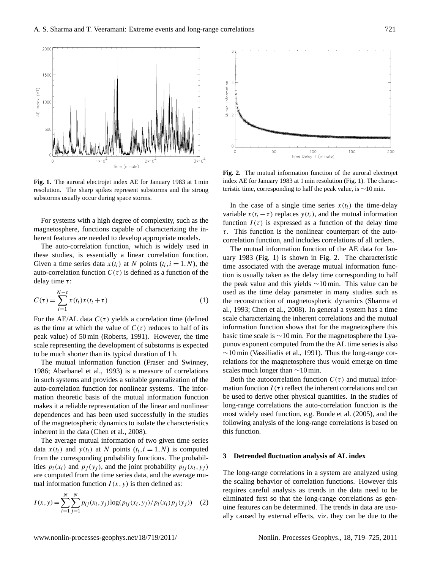

<span id="page-2-0"></span>**Fig. 1.** The auroral electrojet index AE for January 1983 at 1 min resolution. The sharp spikes represent substorms and the strong substorms usually occur during space storms.

For systems with a high degree of complexity, such as the magnetosphere, functions capable of characterizing the inherent features are needed to develop appropriate models.

The auto-correlation function, which is widely used in these studies, is essentially a linear correlation function. Given a time series data  $x(t_i)$  at N points  $(t_i, i = 1, N)$ , the auto-correlation function  $C(\tau)$  is defined as a function of the delay time  $\tau$ :

$$
C(\tau) = \sum_{i=1}^{N-\tau} x(t_i)x(t_i + \tau)
$$
\n(1)

For the AE/AL data  $C(\tau)$  yields a correlation time (defined as the time at which the value of  $C(\tau)$  reduces to half of its peak value) of 50 min [\(Roberts,](#page-6-7) [1991\)](#page-6-7). However, the time scale representing the development of substorms is expected to be much shorter than its typical duration of 1 h.

The mutual information function [\(Fraser and Swinney,](#page-5-14) [1986;](#page-5-14) [Abarbanel et al.,](#page-5-4) [1993\)](#page-5-4) is a measure of correlations in such systems and provides a suitable generalization of the auto-correlation function for nonlinear systems. The information theoretic basis of the mutual information function makes it a reliable representation of the linear and nonlinear dependences and has been used successfully in the studies of the magnetospheric dynamics to isolate the characteristics inherent in the data [\(Chen et al.,](#page-5-15) [2008\)](#page-5-15).

The average mutual information of two given time series data  $x(t_i)$  and  $y(t_i)$  at N points  $(t_i, i = 1, N)$  is computed from the corresponding probability functions. The probabilities  $p_i(x_i)$  and  $p_j(y_i)$ , and the joint probability  $p_{ij}(x_i, y_j)$ are computed from the time series data, and the average mutual information function  $I(x, y)$  is then defined as:

$$
I(x, y) = \sum_{i=1}^{N} \sum_{j=1}^{N} p_{ij}(x_i, y_j) \log(p_{ij}(x_i, y_j) / p_i(x_i) p_j(y_j)) \quad (2)
$$



<span id="page-2-1"></span>**Fig. 2.** The mutual information function of the auroral electrojet index AE for January 1983 at 1 min resolution (Fig. 1). The characteristic time, corresponding to half the peak value, is ∼10 min.

In the case of a single time series  $x(t_i)$  the time-delay variable  $x(t_i - \tau)$  replaces  $y(t_i)$ , and the mutual information function  $I(\tau)$  is expressed as a function of the delay time  $\tau$ . This function is the nonlinear counterpart of the autocorrelation function, and includes correlations of all orders.

The mutual information function of the AE data for January 1983 (Fig. [1\)](#page-2-0) is shown in Fig. [2.](#page-2-1) The characteristic time associated with the average mutual information function is usually taken as the delay time corresponding to half the peak value and this yields ∼10 min. This value can be used as the time delay parameter in many studies such as the reconstruction of magnetospheric dynamics [\(Sharma et](#page-6-8) [al.,](#page-6-8) [1993;](#page-6-8) [Chen et al.,](#page-5-15) [2008\)](#page-5-15). In general a system has a time scale characterizing the inherent correlations and the mutual information function shows that for the magnetosphere this basic time scale is ∼10 min. For the magnetosphere the Lyapunov exponent computed from the the AL time series is also ∼10 min [\(Vassiliadis et al.,](#page-6-9) [1991\)](#page-6-9). Thus the long-range correlations for the magnetosphere thus would emerge on time scales much longer than ∼10 min.

Both the autocorrelation function  $C(\tau)$  and mutual information function  $I(\tau)$  reflect the inherent correlations and can be used to derive other physical quantities. In the studies of long-range correlations the auto-correlation function is the most widely used function, e.g. [Bunde et al.](#page-5-8) [\(2005\)](#page-5-8), and the following analysis of the long-range correlations is based on this function.

#### **3 Detrended fluctuation analysis of AL index**

The long-range correlations in a system are analyzed using the scaling behavior of correlation functions. However this requires careful analysis as trends in the data need to be eliminated first so that the long-range correlations as genuine features can be determined. The trends in data are usually caused by external effects, viz. they can be due to the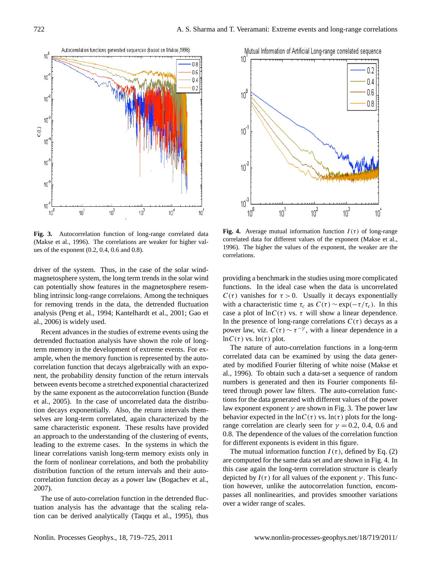

<span id="page-3-0"></span>**Fig. 3.** Autocorrelation function of long-range correlated data (Makse et al., 1996). The correlations are weaker for higher values of the exponent (0.2, 0.4, 0.6 and 0.8).

driver of the system. Thus, in the case of the solar windmagnetosphere system, the long term trends in the solar wind can potentially show features in the magnetosphere resembling intrinsic long-range correlaions. Among the techniques for removing trends in the data, the detrended fluctuation analysis [\(Peng et al.,](#page-6-10) [1994;](#page-6-10) [Kantelhardt et al.,](#page-5-16) [2001;](#page-5-16) [Gao et](#page-5-17) [al.,](#page-5-17) [2006\)](#page-5-17) is widely used.

Recent advances in the studies of extreme events using the detrended fluctuation analysis have shown the role of longterm memory in the development of extreme events. For example, when the memory function is represented by the autocorrelation function that decays algebraically with an exponent, the probability density function of the return intervals between events become a stretched exponential characterized by the same exponent as the autocorrelation function [\(Bunde](#page-5-8) [et al.,](#page-5-8) [2005\)](#page-5-8). In the case of uncorrelated data the distribution decays exponentially. Also, the return intervals themselves are long-term correlated, again characterized by the same characteristic exponent. These results have provided an approach to the understanding of the clustering of events, leading to the extreme cases. In the systems in which the linear correlations vanish long-term memory exists only in the form of nonlinear correlations, and both the probability distribution function of the return intervals and their autocorrelation function decay as a power law [\(Bogachev et al.,](#page-5-18) [2007\)](#page-5-18).

The use of auto-correlation function in the detrended fluctuation analysis has the advantage that the scaling relation can be derived analytically [\(Taqqu et al.,](#page-6-11) [1995\)](#page-6-11), thus



<span id="page-3-1"></span>**Fig. 4.** Average mutual information function  $I(\tau)$  of long-range correlated data for different values of the exponent (Makse et al., 1996). The higher the values of the exponent, the weaker are the correlations.

providing a benchmark in the studies using more complicated functions. In the ideal case when the data is uncorrelated  $C(\tau)$  vanishes for  $\tau > 0$ . Usually it decays exponentially with a characteristic time  $\tau_c$  as  $C(\tau) \sim \exp(-\tau/\tau_c)$ . In this case a plot of  $\ln C(\tau)$  vs.  $\tau$  will show a linear dependence. In the presence of long-range correlations  $C(\tau)$  decays as a power law, viz.  $C(\tau) \sim \tau^{-\gamma}$ , with a linear dependence in a  $\ln C(\tau)$  vs.  $\ln(\tau)$  plot.

The nature of auto-correlation functions in a long-term correlated data can be examined by using the data generated by modified Fourier filtering of white noise [\(Makse et](#page-5-19) [al.,](#page-5-19) [1996\)](#page-5-19). To obtain such a data-set a sequence of random numbers is generated and then its Fourier components filtered through power law filters. The auto-correlation functions for the data generated with different values of the power law exponent exponent  $\gamma$  are shown in Fig. [3.](#page-3-0) The power law behavior expected in the  $\ln C(\tau)$  vs.  $\ln(\tau)$  plots for the longrange correlation are clearly seen for  $\gamma = 0.2, 0.4, 0.6$  and 0.8. The dependence of the values of the correlation function for different exponents is evident in this figure.

The mutual information function  $I(\tau)$ , defined by Eq. (2) are computed for the same data set and are shown in Fig. [4.](#page-3-1) In this case again the long-term correlation structure is clearly depicted by  $I(\tau)$  for all values of the exponent  $\gamma$ . This function however, unlike the autocorrelation function, encompasses all nonlinearities, and provides smoother variations over a wider range of scales.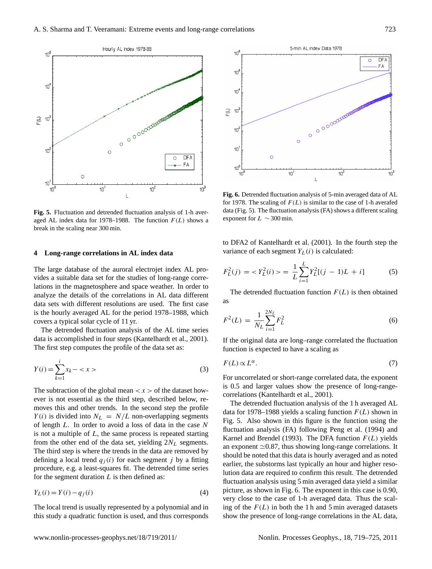

<span id="page-4-0"></span>**Fig. 5.** Fluctuation and detrended fluctuation analysis of 1-h averaged AL index data for 1978–1988. The function  $F(L)$  shows a break in the scaling near 300 min.

## **4 Long-range correlations in AL index data**

The large database of the auroral electrojet index AL provides a suitable data set for the studies of long-range correlations in the magnetosphere and space weather. In order to analyze the details of the correlations in AL data different data sets with different resolutions are used. The first case is the hourly averaged AL for the period 1978–1988, which covers a typical solar cycle of 11 yr.

The detrended fluctuation analysis of the AL time series data is accomplished in four steps [\(Kantelhardt et al.,](#page-5-16) [2001\)](#page-5-16). The first step computes the profile of the data set as:

$$
Y(i) = \sum_{k=1}^{i} x_k - \langle x \rangle
$$
 (3)

The subtraction of the global mean  $\langle x \rangle$  of the dataset however is not essential as the third step, described below, removes this and other trends. In the second step the profile  $Y(i)$  is divided into  $N_L = N/L$  non-overlapping segments of length L. In order to avoid a loss of data in the case N is not a multiple of  $L$ , the same process is repeated starting from the other end of the data set, yielding  $2N<sub>L</sub>$  segments. The third step is where the trends in the data are removed by defining a local trend  $q_i (i)$  for each segment j by a fitting procedure, e.g. a least-squares fit. The detrended time series for the segment duration  $L$  is then defined as:

$$
Y_L(i) = Y(i) - q_j(i) \tag{4}
$$

The local trend is usually represented by a polynomial and in this study a quadratic function is used, and thus corresponds



<span id="page-4-1"></span>**Fig. 6.** Detrended fluctuation analysis of 5-min averaged data of AL for 1978. The scaling of  $F(L)$  is similar to the case of 1-h averafed data (Fig. 5). The fluctuation analysis (FA) shows a different scaling exponent for  $L \sim 300$  min.

to DFA2 of [Kantelhardt et al.](#page-5-16) [\(2001\)](#page-5-16). In the fourth step the variance of each segment  $Y_L(i)$  is calculated:

$$
F_L^2(j) = \langle Y_L^2(i) \rangle = \frac{1}{L} \sum_{i=1}^L Y_L^2[(j-1)L+i]
$$
 (5)

The detrended fluctuation function  $F(L)$  is then obtained as

$$
F^{2}(L) = \frac{1}{N_{L}} \sum_{i=1}^{2N_{L}} F_{L}^{2}
$$
 (6)

If the original data are long–range correlated the fluctuation function is expected to have a scaling as

$$
F(L) \propto L^{\alpha}.\tag{7}
$$

For uncorrelated or short-range correlated data, the exponent is 0.5 and larger values show the presence of long-rangecorrelations [\(Kantelhardt et al.,](#page-5-16) [2001\)](#page-5-16).

The detrended fluctuation analysis of the 1 h averaged AL data for 1978–1988 yields a scaling function  $F(L)$  shown in Fig. [5.](#page-4-0) Also shown in this figure is the function using the fluctuation analysis (FA) following [Peng et al.](#page-6-10) [\(1994\)](#page-6-10) and [Karnel and Brendel](#page-5-20) [\(1993\)](#page-5-20). The DFA function  $F(L)$  yields an exponent  $\simeq$  0.87, thus showing long-range correlations. It should be noted that this data is hourly averaged and as noted earlier, the substorms last typically an hour and higher resolution data are required to confirm this result. The detrended fluctuation analysis using 5 min averaged data yield a similar picture, as shown in Fig. [6.](#page-4-1) The exponent in this case is 0.90, very close to the case of 1-h averaged data. Thus the scaling of the  $F(L)$  in both the 1 h and 5 min averaged datasets show the presence of long-range correlations in the AL data,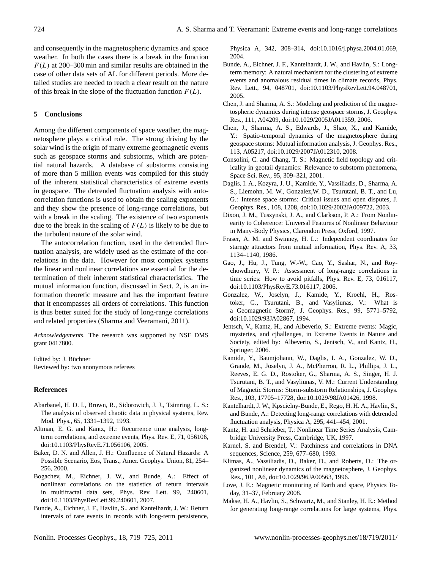and consequently in the magnetospheric dynamics and space weather. In both the cases there is a break in the function  $F(L)$  at 200–300 min and similar results are obtained in the case of other data sets of AL for different periods. More detailed studies are needed to reach a clear result on the nature of this break in the slope of the fluctuation function  $F(L)$ .

# **5 Conclusions**

Among the different components of space weather, the magnetosphere plays a critical role. The strong driving by the solar wind is the origin of many extreme geomagnetic events such as geospace storms and substorms, which are potential natural hazards. A database of substorms consisting of more than 5 million events was compiled for this study of the inherent statistical characteristics of extreme events in geospace. The detrended fluctuation analysis with autocorrelation functions is used to obtain the scaling exponents and they show the presence of long-range correlations, but with a break in the scaling. The existence of two exponents due to the break in the scaling of  $F(L)$  is likely to be due to the turbulent nature of the solar wind.

The autocorrelation function, used in the detrended fluctuation analysis, are widely used as the estimate of the correlations in the data. However for most complex systems the linear and nonlinear correlations are essential for the determination of their inherent statistical characteristics. The mutual information function, discussed in Sect. 2, is an information theoretic measure and has the important feature that it encompasses all orders of correlations. This function is thus better suited for the study of long-range correlations and related properties [\(Sharma and Veeramani,](#page-6-12) [2011\)](#page-6-12).

*Acknowledgements.* The research was supported by NSF DMS grant 0417800.

Edited by: J. Büchner Reviewed by: two anonymous referees

## **References**

- <span id="page-5-4"></span>Abarbanel, H. D. I., Brown, R., Sidorowich, J. J., Tsimring, L. S.: The analysis of observed chaotic data in physical systems, Rev. Mod. Phys., 65, 1331–1392, 1993.
- <span id="page-5-7"></span>Altman, E. G. and Kantz, H.: Recurrence time analysis, longterm correlations, and extreme events, Phys. Rev. E, 71, 056106, [doi:10.1103/PhysRevE.71.056106,](http://dx.doi.org/10.1103/PhysRevE.71.056106) 2005.
- <span id="page-5-9"></span>Baker, D. N. and Allen, J. H.: Confluence of Natural Hazards: A Possible Scenario, Eos, Trans., Amer. Geophys. Union, 81, 254– 256, 2000.
- <span id="page-5-18"></span>Bogachev, M., Eichner, J. W., and Bunde, A.: Effect of nonlinear correlations on the statistics of return intervals in multifractal data sets, Phys. Rev. Lett. 99, 240601, [doi:10.1103/PhysRevLett.99.240601,](http://dx.doi.org/10.1103/PhysRevLett.99.240601) 2007.
- <span id="page-5-6"></span>Bunde, A., Eichner, J. F., Havlin, S., and Kantelhardt, J. W.: Return intervals of rare events in records with long-term persistence,

Physica A, 342, 308–314, [doi:10.1016/j.physa.2004.01.069,](http://dx.doi.org/10.1016/j.physa.2004.01.069) 2004.

- <span id="page-5-8"></span>Bunde, A., Eichner, J. F., Kantelhardt, J. W., and Havlin, S.: Longterm memory: A natural mechanism for the clustering of extreme events and anomalous residual times in climate records, Phys. Rev. Lett., 94, 048701, [doi:10.1103/PhysRevLett.94.048701,](http://dx.doi.org/10.1103/PhysRevLett.94.048701) 2005.
- Chen, J. and Sharma, A. S.: Modeling and prediction of the magnetospheric dynamics during intense geospace storms, J. Geophys. Res., 111, A04209, [doi:10.1029/2005JA011359,](http://dx.doi.org/10.1029/2005JA011359) 2006.
- <span id="page-5-15"></span>Chen, J., Sharma, A. S., Edwards, J., Shao, X., and Kamide, Y.: Spatio-temporal dynamics of the magnetosphere during geospace storms: Mutual information analysis, J. Geophys. Res., 113, A05217, [doi:10.1029/2007JA012310,](http://dx.doi.org/10.1029/2007JA012310) 2008.
- <span id="page-5-1"></span>Consolini, C. and Chang, T. S.: Magnetic field topology and criticality in geotail dynamics: Relevance to substorm phenomena, Space Sci. Rev., 95, 309–321, 2001.
- <span id="page-5-13"></span>Daglis, I. A., Kozyra, J. U., Kamide, Y., Vassiliadis, D., Sharma, A. S., Liemohn, M. W., Gonzalez,W. D., Tsurutani, B. T., and Lu, G.: Intense space storms: Critical issues and open disputes, J. Geophys. Res., 108, 1208, [doi:10.1029/2002JA009722,](http://dx.doi.org/10.1029/2002JA009722) 2003.
- <span id="page-5-3"></span>Dixon, J. M., Tuszynski, J. A., and Clarkson, P. A.: From Nonlinearity to Coherence: Universal Features of Nonlinear Behaviour in Many-Body Physics, Clarendon Press, Oxford, 1997.
- <span id="page-5-14"></span>Fraser, A. M. and Swinney, H. L.: Independent coordinates for starnge attractors from mutual information, Phys. Rev. A, 33, 1134–1140, 1986.
- <span id="page-5-17"></span>Gao, J., Hu, J., Tung, W.-W., Cao, Y., Sashar, N., and Roychowdhury, V. P.: Assessment of long-range correlations in time series: How to avoid pitfalls, Phys. Rev. E, 73, 016117, [doi:10.1103/PhysRevE.73.016117,](http://dx.doi.org/10.1103/PhysRevE.73.016117) 2006.
- <span id="page-5-11"></span>Gonzalez, W., Joselyn, J., Kamide, Y., Kroehl, H., Rostoker, G., Tsurutani, B., and Vasyliunas, V.: What is a Geomagnetic Storm?, J. Geophys. Res., 99, 5771–5792, [doi:10.1029/93JA02867,](http://dx.doi.org/10.1029/93JA02867) 1994.
- <span id="page-5-2"></span>Jentsch, V., Kantz, H., and Albeverio, S.: Extreme events: Magic, mysteries, and cjhallenges, in Extreme Events in Nature and Society, edited by: Albeverio, S., Jentsch, V., and Kantz, H., Springer, 2006.
- <span id="page-5-12"></span>Kamide, Y., Baumjohann, W., Daglis, I. A., Gonzalez, W. D., Grande, M., Joselyn, J. A., McPherron, R. L., Phillips, J. L., Reeves, E. G. D., Rostoker, G., Sharma, A. S., Singer, H. J. Tsurutani, B. T., and Vasyliunas, V. M.: Current Understanding of Magnetic Storms: Storm-substorm Relationships, J. Geophys. Res., 103, 17705–17728, [doi:10.1029/98JA01426,](http://dx.doi.org/10.1029/98JA01426) 1998.
- <span id="page-5-16"></span>Kantelhardt, J. W., Kpscielny-Bunde, E., Rego, H. H. A., Havlin, S., and Bunde, A.: Detecting long-range correlations with detrended fluctuation analysis, Physica A, 295, 441–454, 2001.
- <span id="page-5-5"></span>Kantz, H. and Schrieber, T.: Nonlinear Time Series Analysis, Cambridge University Press, Cambridge, UK, 1997.
- <span id="page-5-20"></span>Karnel, S. and Brendel, V.: Patchiness and correlations in DNA sequences, Science, 259, 677–680, 1993.
- <span id="page-5-0"></span>Klimas, A., Vassiliadis, D., Baker, D., and Roberts, D.: The organized nonlinear dynamics of the magnetosphere, J. Geophys. Res., 101, A6, [doi:10.1029/96JA00563,](http://dx.doi.org/10.1029/96JA00563) 1996.
- <span id="page-5-10"></span>Love, J. E.: Magnetic monitoring of Earth and space, Physics Today, 31–37, February 2008.
- <span id="page-5-19"></span>Makse, H. A., Havlin, S., Schwartz, M., and Stanley, H. E.: Method for generating long-range correlations for large systems, Phys.